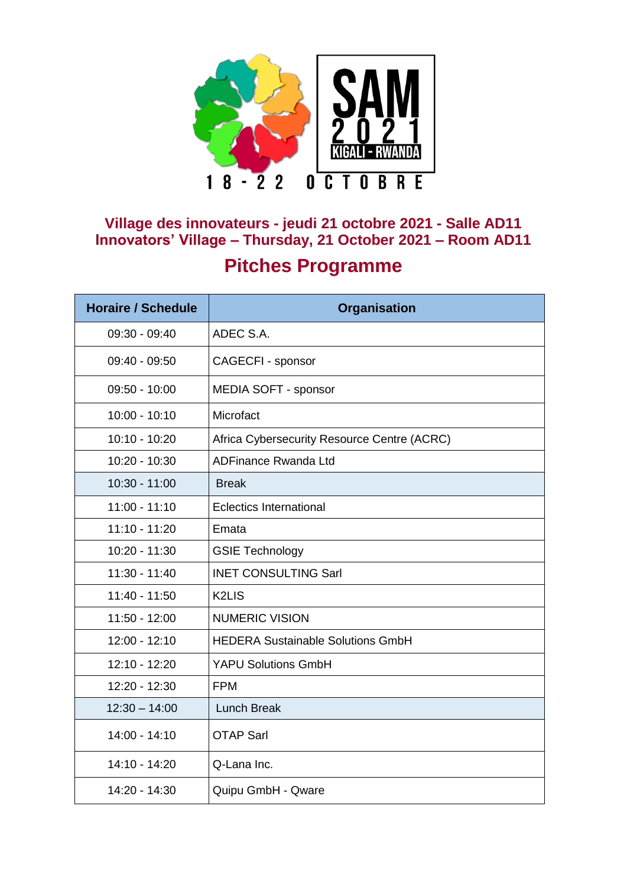

## **Village des innovateurs - jeudi 21 octobre 2021 - Salle AD11 Innovators' Village – Thursday, 21 October 2021 – Room AD11 Pitches Programme**

| <b>Horaire / Schedule</b> | <b>Organisation</b>                         |
|---------------------------|---------------------------------------------|
| $09:30 - 09:40$           | ADEC S.A.                                   |
| $09:40 - 09:50$           | CAGECFI - sponsor                           |
| $09:50 - 10:00$           | MEDIA SOFT - sponsor                        |
| $10:00 - 10:10$           | Microfact                                   |
| $10:10 - 10:20$           | Africa Cybersecurity Resource Centre (ACRC) |
| 10:20 - 10:30             | <b>ADFinance Rwanda Ltd</b>                 |
| $10:30 - 11:00$           | <b>Break</b>                                |
| $11:00 - 11:10$           | <b>Eclectics International</b>              |
| $11:10 - 11:20$           | Emata                                       |
| 10:20 - 11:30             | <b>GSIE Technology</b>                      |
| $11:30 - 11:40$           | <b>INET CONSULTING Sarl</b>                 |
| $11:40 - 11:50$           | <b>K2LIS</b>                                |
| $11:50 - 12:00$           | <b>NUMERIC VISION</b>                       |
| $12:00 - 12:10$           | <b>HEDERA Sustainable Solutions GmbH</b>    |
| 12:10 - 12:20             | <b>YAPU Solutions GmbH</b>                  |
| 12:20 - 12:30             | <b>FPM</b>                                  |
| $12:30 - 14:00$           | <b>Lunch Break</b>                          |
| 14:00 - 14:10             | <b>OTAP Sarl</b>                            |
| 14:10 - 14:20             | Q-Lana Inc.                                 |
| 14:20 - 14:30             | Quipu GmbH - Qware                          |